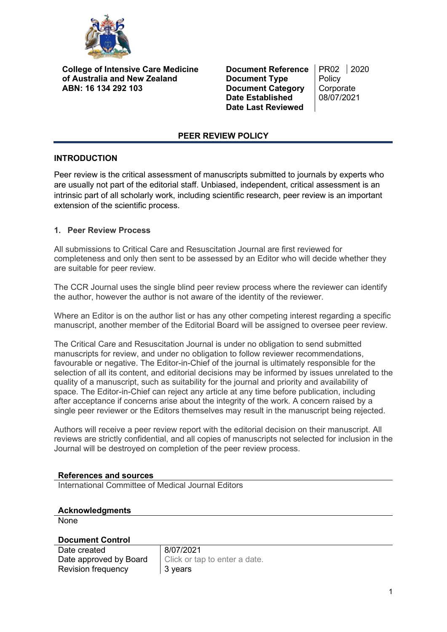

**College of Intensive Care Medicine of Australia and New Zealand ABN: 16 134 292 103**

**Document Reference** | PR02 | 2020<br>**Document Type** | Policy **Document Type Document Category** Corporate<br>
Date Established 08/07/2021 **Date Established Date Last Reviewed**

### **PEER REVIEW POLICY**

## **INTRODUCTION**

Peer review is the critical assessment of manuscripts submitted to journals by experts who are usually not part of the editorial staff. Unbiased, independent, critical assessment is an intrinsic part of all scholarly work, including scientific research, peer review is an important extension of the scientific process.

## **1. Peer Review Process**

All submissions to Critical Care and Resuscitation Journal are first reviewed for completeness and only then sent to be assessed by an Editor who will decide whether they are suitable for peer review.

The CCR Journal uses the single blind peer review process where the reviewer can identify the author, however the author is not aware of the identity of the reviewer.

Where an Editor is on the author list or has any other competing interest regarding a specific manuscript, another member of the Editorial Board will be assigned to oversee peer review.

The Critical Care and Resuscitation Journal is under no obligation to send submitted manuscripts for review, and under no obligation to follow reviewer recommendations, favourable or negative. The Editor-in-Chief of the journal is ultimately responsible for the selection of all its content, and editorial decisions may be informed by issues unrelated to the quality of a manuscript, such as suitability for the journal and priority and availability of space. The Editor-in-Chief can reject any article at any time before publication, including after acceptance if concerns arise about the integrity of the work. A concern raised by a single peer reviewer or the Editors themselves may result in the manuscript being rejected.

Authors will receive a peer review report with the editorial decision on their manuscript. All reviews are strictly confidential, and all copies of manuscripts not selected for inclusion in the Journal will be destroyed on completion of the peer review process.

#### **References and sources**

International Committee of Medical Journal Editors

#### **Acknowledgments**

None

## **Document Control**

| Date created           | 8/07/2021                     |
|------------------------|-------------------------------|
| Date approved by Board | Click or tap to enter a date. |
| Revision frequency     | 3 vears                       |